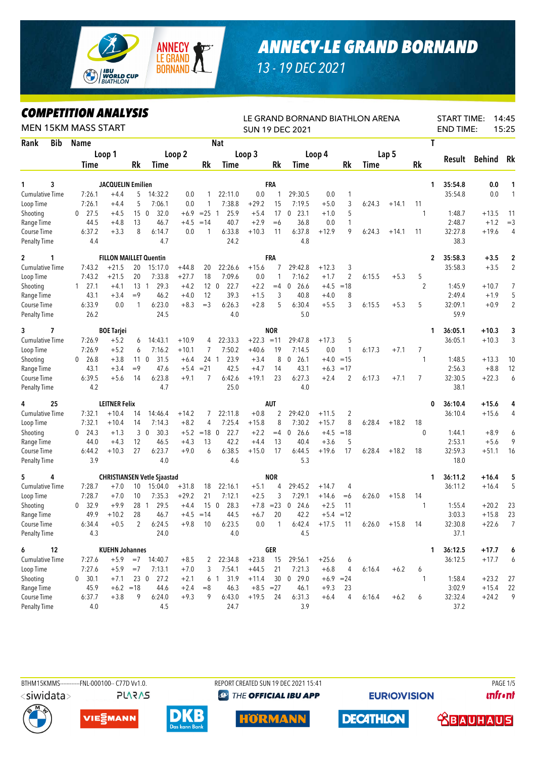

## *ANNECY-LE GRAND BORNAND*

*13 - 19 DEC 2021*

## *COMPETITION ANALYSIS*

| LUMPEIIIIUN ANALIYIY<br><b>MEN 15KM MASS START</b> |                      |                               |                 |                                    |         |                 | LE GRAND BORNAND BIATHLON ARENA<br><b>SUN 19 DEC 2021</b> | <b>START TIME:</b><br>14:45<br><b>END TIME:</b><br>15:25 |                 |                      |         |                 |        |         |                |                         |         |                |
|----------------------------------------------------|----------------------|-------------------------------|-----------------|------------------------------------|---------|-----------------|-----------------------------------------------------------|----------------------------------------------------------|-----------------|----------------------|---------|-----------------|--------|---------|----------------|-------------------------|---------|----------------|
| Rank<br><b>Bib</b>                                 | <b>Name</b>          |                               |                 |                                    |         | <b>Nat</b>      |                                                           | T                                                        |                 |                      |         |                 |        |         |                |                         |         |                |
|                                                    |                      | Loop 1                        |                 |                                    | Loop 2  |                 |                                                           | Loop 3                                                   |                 |                      | Loop 4  |                 |        | Lap 5   |                |                         |         |                |
|                                                    | Time                 |                               | Rk              | Time                               |         | Rk              | Time                                                      |                                                          | Rk              | Time                 |         | Rk              | Time   |         | <b>Rk</b>      | Result                  | Behind  | Rk             |
| 3<br>1                                             |                      | <b>JACQUELIN Emilien</b>      |                 |                                    |         |                 |                                                           |                                                          | FRA             |                      |         |                 |        |         | 1.             | 35:54.8                 | 0.0     | 1              |
| <b>Cumulative Time</b>                             | 7:26.1               | $+4.4$                        | 5               | 14:32.2                            | 0.0     | $\mathbf{1}$    | 22:11.0                                                   | 0.0                                                      | 1               | 29:30.5              | 0.0     | 1               |        |         |                | 35:54.8                 | 0.0     | $\mathbf{1}$   |
| Loop Time                                          | 7:26.1               | $+4.4$                        | 5               | 7:06.1                             | 0.0     | 1               | 7:38.8                                                    | $+29.2$                                                  | 15              | 7:19.5               | $+5.0$  | 3               | 6:24.3 | $+14.1$ | 11             |                         |         |                |
| Shooting                                           | 27.5<br>0            | $+4.5$                        | 15              | 32.0<br>$\mathbf 0$                | $+6.9$  | $= 25 \quad 1$  | 25.9                                                      | $+5.4$                                                   | 17              | 23.1<br>$\mathbf{0}$ | $+1.0$  | 5               |        |         | 1              | 1:48.7                  | $+13.5$ | 11             |
| Range Time                                         | 44.5                 | $+4.8$                        | 13              | 46.7                               | $+4.5$  | $=14$           | 40.7                                                      | $+2.9$                                                   | $=6$            | 36.8                 | 0.0     | 1               |        |         |                | 2:48.7                  | $+1.2$  | $=$ 3          |
| Course Time                                        | 6:37.2               | $+3.3$                        | 8               | 6:14.7                             | 0.0     | 1               | 6:33.8                                                    | $+10.3$                                                  | 11              | 6:37.8               | $+12.9$ | 9               | 6:24.3 | $+14.1$ | 11             | 32:27.8                 | +19.6   | 4              |
| <b>Penalty Time</b>                                | 4.4                  |                               |                 | 4.7                                |         |                 | 24.2                                                      |                                                          |                 | 4.8                  |         |                 |        |         |                | 38.3                    |         |                |
| $\mathbf{2}$<br>1                                  |                      | <b>FILLON MAILLET Quentin</b> |                 |                                    |         |                 |                                                           |                                                          | FRA             |                      |         |                 |        |         |                | 35:58.3<br>$\mathbf{2}$ | $+3.5$  | 2              |
| <b>Cumulative Time</b>                             | 7:43.2               | $+21.5$                       | 20              | 15:17.0                            | $+44.8$ | 20              | 22:26.6                                                   | $+15.6$                                                  | 7               | 29:42.8              | $+12.3$ | 3               |        |         |                | 35:58.3                 | $+3.5$  | $\overline{2}$ |
| Loop Time                                          | 7:43.2               | $+21.5$                       | 20              | 7:33.8                             | $+27.7$ | 18              | 7:09.6                                                    | 0.0                                                      | 1               | 7:16.2               | $+1.7$  | 2               | 6:15.5 | $+5.3$  | 5              |                         |         |                |
| Shooting                                           | $1 \quad 27.1$       | $+4.1$                        | 13 1            | 29.3                               | $+4.2$  |                 | 12 <sub>0</sub><br>22.7                                   | $+2.2$                                                   | $=4$            | 26.6<br>0            | $+4.5$  | $=18$           |        |         | $\overline{2}$ | 1:45.9                  | $+10.7$ | 7              |
| Range Time                                         | 43.1                 | $+3.4$                        | $=9$            | 46.2                               | $+4.0$  | 12              | 39.3                                                      | $+1.5$                                                   | 3               | 40.8                 | $+4.0$  | 8               |        |         |                | 2:49.4                  | $+1.9$  | 5              |
| Course Time                                        | 6:33.9               | 0.0                           | $\mathbf{1}$    | 6:23.0                             | $+8.3$  | $=$ 3           | 6:26.3                                                    | $+2.8$                                                   | 5               | 6:30.4               | $+5.5$  | 3               | 6:15.5 | $+5.3$  | 5              | 32:09.1                 | $+0.9$  | $\sqrt{2}$     |
| <b>Penalty Time</b>                                | 26.2                 |                               |                 | 24.5                               |         |                 | 4.0                                                       |                                                          |                 | 5.0                  |         |                 |        |         |                | 59.9                    |         |                |
| 7<br>3                                             |                      | <b>BOE Tarjei</b>             |                 |                                    |         |                 |                                                           |                                                          | <b>NOR</b>      |                      |         |                 |        |         | 1              | 36:05.1                 | $+10.3$ | 3              |
| <b>Cumulative Time</b>                             | 7:26.9               | $+5.2$                        | 6               | 14:43.1                            | $+10.9$ | 4               | 22:33.3                                                   | $+22.3$                                                  | $=11$           | 29:47.8              | $+17.3$ | 5               |        |         |                | 36:05.1                 | $+10.3$ | 3              |
| Loop Time                                          | 7:26.9               | $+5.2$                        | 6               | 7:16.2                             | $+10.1$ | 7               | 7:50.2                                                    | $+40.6$                                                  | 19              | 7:14.5               | 0.0     | 1               | 6:17.3 | $+7.1$  | 7              |                         |         |                |
| Shooting                                           | 26.8<br>$\mathbf{0}$ | $+3.8$                        | 11 <sub>0</sub> | 31.5                               | $+6.4$  | 24 <sub>1</sub> | 23.9                                                      | $+3.4$                                                   | 8               | $\mathbf 0$<br>26.1  | $+4.0$  | $=15$           |        |         | $\mathbf{1}$   | 1:48.5                  | $+13.3$ | 10             |
| Range Time                                         | 43.1                 | $+3.4$                        | $=9$            | 47.6                               | $+5.4$  | $= 21$          | 42.5                                                      | $+4.7$                                                   | 14              | 43.1                 | $+6.3$  | $=17$           |        |         |                | 2:56.3                  | $+8.8$  | 12             |
| Course Time                                        | 6:39.5               | $+5.6$                        | 14              | 6:23.8                             | $+9.1$  | 7               | 6:42.6                                                    | $+19.1$                                                  | 23              | 6:27.3               | $+2.4$  | 2               | 6:17.3 | $+7.1$  | 7              | 32:30.5                 | $+22.3$ | 6              |
| <b>Penalty Time</b>                                | 4.2                  |                               |                 | 4.7                                |         |                 | 25.0                                                      |                                                          |                 | 4.0                  |         |                 |        |         |                | 38.1                    |         |                |
| 25<br>4                                            |                      | <b>LEITNER Felix</b>          |                 |                                    |         |                 |                                                           |                                                          | AUT             |                      |         |                 |        |         | 0              | 36:10.4                 | $+15.6$ | 4              |
| <b>Cumulative Time</b>                             | 7:32.1               | $+10.4$                       | 14              | 14:46.4                            | $+14.2$ | 7               | 22:11.8                                                   | $+0.8$                                                   | 2               | 29:42.0              | $+11.5$ | $\overline{c}$  |        |         |                | 36:10.4                 | $+15.6$ | 4              |
| Loop Time                                          | 7:32.1               | $+10.4$                       | 14              | 7:14.3                             | $+8.2$  | 4               | 7:25.4                                                    | $+15.8$                                                  | 8               | 7:30.2               | $+15.7$ | 8               | 6:28.4 | $+18.2$ | 18             |                         |         |                |
| Shooting                                           | 24.3<br>0            | $+1.3$                        |                 | 30<br>30.3                         | $+5.2$  | $=18$ 0         | 22.7                                                      | $+2.2$                                                   | $=4$            | 26.6<br>0            | $+4.5$  | $=18$           |        |         | $\theta$       | 1:44.1                  | $+8.9$  | 6              |
| Range Time                                         | 44.0                 | $+4.3$                        | 12              | 46.5                               | $+4.3$  | 13              | 42.2                                                      | $+4.4$                                                   | 13              | 40.4                 | $+3.6$  | 5               |        |         |                | 2:53.1                  | $+5.6$  | 9              |
| Course Time                                        | 6:44.2               | $+10.3$                       | 27              | 6:23.7                             | $+9.0$  | 6               | 6:38.5                                                    | $+15.0$                                                  | 17              | 6:44.5               | $+19.6$ | 17              | 6:28.4 | $+18.2$ | 18             | 32:59.3                 | $+51.1$ | 16             |
| <b>Penalty Time</b>                                | 3.9                  |                               |                 | 4.0                                |         |                 | 4.6                                                       |                                                          |                 | 5.3                  |         |                 |        |         |                | 18.0                    |         |                |
| 5<br>4                                             |                      |                               |                 | <b>CHRISTIANSEN Vetle Sjaastad</b> |         |                 |                                                           |                                                          | <b>NOR</b>      |                      |         |                 |        |         | 1              | 36:11.2                 | $+16.4$ | 5              |
| Cumulative Time                                    | 7:28.7               | $+7.0$                        | 10              | 15:04.0                            | $+31.8$ | 18              | 22:16.1                                                   | $+5.1$                                                   | 4               | 29:45.2              | $+14.7$ | 4               |        |         |                | 36:11.2                 | $+16.4$ | 5              |
| Loop Time                                          | 7:28.7               | $+7.0$                        | 10              | 7:35.3                             | $+29.2$ | 21              | 7:12.1                                                    | $+2.5$                                                   | 3               | 7:29.1               | $+14.6$ | $= 6$           | 6:26.0 | $+15.8$ | 14             |                         |         |                |
| Shooting                                           | 32.9<br>$\mathbf{0}$ | $+9.9$                        | 28 1            | 29.5                               | $+4.4$  | 150             | 28.3                                                      |                                                          | $+7.8 = 23$     | $\mathbf 0$<br>24.6  | $+2.5$  | 11              |        |         |                | 1:55.4                  | $+20.2$ | 23             |
| Range Time                                         | 49.9                 | $+10.2$                       | 28              | 46.7                               |         | $+4.5 = 14$     | 44.5                                                      | $+6.7$                                                   | 20              | 42.2                 | $+5.4$  | $=12$           |        |         |                | 3:03.3                  | $+15.8$ | 23             |
| Course Time                                        | 6:34.4               | $+0.5$                        | 2               | 6:24.5                             | $+9.8$  | 10              | 6:23.5                                                    | 0.0                                                      | 1               | 6:42.4               | $+17.5$ | $\overline{11}$ | 6:26.0 | $+15.8$ | 14             | 32:30.8                 | $+22.6$ | 7              |
| Penalty Time                                       | 4.3                  |                               |                 | 24.0                               |         |                 | 4.0                                                       |                                                          |                 | 4.5                  |         |                 |        |         |                | 37.1                    |         |                |
| 6<br>12                                            |                      | <b>KUEHN Johannes</b>         |                 |                                    |         |                 |                                                           |                                                          | GER             |                      |         |                 |        |         |                | 36:12.5<br>1            | $+17.7$ | 6              |
| Cumulative Time                                    | 7:27.6               | $+5.9$                        |                 | $=7$ 14:40.7                       | $+8.5$  | $\mathbf{2}$    | 22:34.8                                                   | $+23.8$                                                  | 15              | 29:56.1              | $+25.6$ | 6               |        |         |                | 36:12.5                 | $+17.7$ | 6              |
| Loop Time                                          | 7:27.6               | $+5.9$                        | $=7$            | 7:13.1                             | $+7.0$  | 3               | 7:54.1                                                    | $+44.5$                                                  | 21              | 7:21.3               | $+6.8$  | 4               | 6:16.4 | $+6.2$  | 6              |                         |         |                |
| Shooting                                           | 0 30.1               | $+7.1$                        |                 | 23 0 27.2                          | $+2.1$  | 6               | 31.9<br>$\sim$                                            | $+11.4$                                                  | 30 <sup>°</sup> | 0 29.0               |         | $+6.9 = 24$     |        |         |                | 1:58.4                  | $+23.2$ | 27             |
| Range Time                                         | 45.9                 |                               | $+6.2 = 18$     | 44.6                               | $+2.4$  | $=$ 8           | 46.3                                                      | $+8.5 = 27$                                              |                 | 46.1                 | $+9.3$  | 23              |        |         |                | 3:02.9                  | $+15.4$ | 22             |
| Course Time                                        | 6:37.7               | $+3.8$                        | 9               | 6:24.0                             | $+9.3$  | 9               | 6:43.0                                                    | $+19.5$                                                  | 24              | 6:31.3               | $+6.4$  | 4               | 6:16.4 | $+6.2$  | 6              | 32:32.4                 | $+24.2$ | 9              |
| <b>Penalty Time</b>                                | 4.0                  |                               |                 | 4.5                                |         |                 | 24.7                                                      |                                                          |                 | 3.9                  |         |                 |        |         |                | 37.2                    |         |                |



BTHM15KMMS-----------FNL-000100-- C77D Vv1.0. REPORT CREATED SUN 19 DEC 2021 15:41 PAGE 1/5 **@ THE OFFICIAL IBU APP** 

**EURIO)VISION** 

**unfront** 





**PLARAS** 







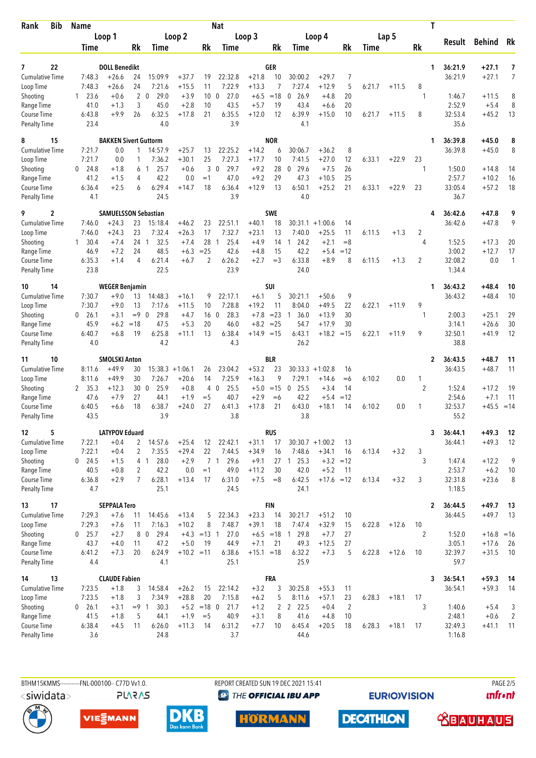| Bib<br>Rank                         | <b>Name</b>                    |                              |                   |                       |                    |                 | <b>Nat</b>                     |                    |                | T                             |                      |                      |        |         |                |                   |                    |                |
|-------------------------------------|--------------------------------|------------------------------|-------------------|-----------------------|--------------------|-----------------|--------------------------------|--------------------|----------------|-------------------------------|----------------------|----------------------|--------|---------|----------------|-------------------|--------------------|----------------|
|                                     | Loop 1                         |                              | Loop 2            |                       | Loop 3             |                 |                                |                    | Loop 4         |                               | Lap 5                |                      |        | Result  | Behind         | Rk                |                    |                |
|                                     | Time                           |                              | Rk                | Time                  |                    | Rk              | Time                           |                    | Rk             | Time                          |                      | Rk                   | Time   |         | Rk             |                   |                    |                |
| 22<br>7                             |                                | <b>DOLL Benedikt</b>         |                   |                       |                    |                 |                                |                    | <b>GER</b>     |                               |                      |                      |        |         | 1              | 36:21.9           | +27.1              | 7              |
| <b>Cumulative Time</b>              | 7:48.3                         | $+26.6$                      | 24                | 15:09.9               | $+37.7$            | 19              | 22:32.8                        | $+21.8$            | 10             | 30:00.2                       | $+29.7$              | 7                    |        |         |                | 36:21.9           | $+27.1$            | 7              |
| Loop Time                           | 7:48.3                         | $+26.6$                      | 24                | 7:21.6                | $+15.5$            | 11              | 7:22.9                         | $+13.3$            | 7              | 7:27.4                        | $+12.9$              | 5                    | 6:21.7 | $+11.5$ | 8              |                   |                    |                |
| Shooting                            | 23.6<br>$\mathbf{1}$           | $+0.6$                       |                   | $2\quad 0$<br>29.0    | $+3.9$             | 10 <sup>°</sup> | 27.0<br>$\mathbf{0}$           | $+6.5$             | $=18$          | 26.9<br>0                     | $+4.8$               | 20                   |        |         | 1              | 1:46.7            | $+11.5$            | 8              |
| Range Time                          | 41.0<br>6:43.8                 | $+1.3$<br>$+9.9$             | 3<br>26           | 45.0<br>6:32.5        | $+2.8$<br>$+17.8$  | 10<br>21        | 43.5<br>6:35.5                 | $+5.7$<br>$+12.0$  | 19<br>12       | 43.4<br>6:39.9                | $+6.6$<br>$+15.0$    | 20<br>10             | 6:21.7 | $+11.5$ | 8              | 2:52.9<br>32:53.4 | $+5.4$<br>$+45.2$  | 8<br>13        |
| Course Time<br><b>Penalty Time</b>  | 23.4                           |                              |                   | 4.0                   |                    |                 | 3.9                            |                    |                | 4.1                           |                      |                      |        |         |                | 35.6              |                    |                |
| 15<br>8                             |                                | <b>BAKKEN Sivert Guttorm</b> |                   |                       |                    |                 |                                |                    | <b>NOR</b>     |                               |                      |                      |        |         | 1              | 36:39.8           | +45.0              | 8              |
| <b>Cumulative Time</b>              | 7:21.7                         | 0.0                          | 1                 | 14:57.9               | $+25.7$            | 13              | 22:25.2                        | $+14.2$            | 6              | 30:06.7                       | $+36.2$              | 8                    |        |         |                | 36:39.8           | $+45.0$            | 8              |
| Loop Time                           | 7:21.7                         | 0.0                          | 1                 | 7:36.2                | $+30.1$            | 25              | 7:27.3                         | $+17.7$            | 10             | 7:41.5                        | $+27.0$              | 12                   | 6:33.1 | $+22.9$ | 23             |                   |                    |                |
| Shooting<br>Range Time              | 24.8<br>$\Omega$<br>41.2       | $+1.8$<br>$+1.5$             | 4                 | 25.7<br>61<br>42.2    | $+0.6$<br>0.0      | 3<br>$=1$       | 29.7<br>$\mathbf{0}$<br>47.0   | $+9.2$<br>$+9.2$   | 28<br>29       | 29.6<br>$\Omega$<br>47.3      | $+7.5$<br>$+10.5$    | 26<br>25             |        |         | 1              | 1:50.0<br>2:57.7  | $+14.8$<br>$+10.2$ | 14<br>16       |
| Course Time                         | 6:36.4                         | $+2.5$                       | 6                 | 6:29.4                | $+14.7$            | 18              | 6:36.4                         | $+12.9$            | 13             | 6:50.1                        | $+25.2$              | 21                   | 6:33.1 | $+22.9$ | 23             | 33:05.4           | $+57.2$            | 18             |
| <b>Penalty Time</b>                 | 4.1                            |                              |                   | 24.5                  |                    |                 | 3.9                            |                    |                | 4.0                           |                      |                      |        |         |                | 36.7              |                    |                |
| 2<br>9                              |                                | <b>SAMUELSSON Sebastian</b>  |                   |                       |                    |                 |                                |                    | <b>SWE</b>     |                               |                      |                      |        |         | 4              | 36:42.6           | $+47.8$            | 9              |
| <b>Cumulative Time</b><br>Loop Time | 7:46.0<br>7:46.0               | $+24.3$<br>$+24.3$           | 23<br>23          | 15:18.4<br>7:32.4     | $+46.2$<br>$+26.3$ | 23<br>17        | 22:51.1<br>7:32.7              | $+40.1$<br>$+23.1$ | 18<br>13       | 30:31.1<br>7:40.0             | $+1:00.6$<br>$+25.5$ | 14<br>11             | 6:11.5 | $+1.3$  | 2              | 36:42.6           | $+47.8$            | 9              |
| Shooting                            | 30.4<br>1                      | $+7.4$                       | 24 1              | 32.5                  | $+7.4$             | 28              | 25.4<br>1                      | $+4.9$             | 14             | 24.2<br>1                     | $+2.1$               | $=8$                 |        |         | 4              | 1:52.5            | $+17.3$            | 20             |
| Range Time                          | 46.9                           | $+7.2$                       | 24                | 48.5                  | $+6.3$             | $= 25$          | 42.6                           | $+4.8$             | 15             | 42.2                          | $+5.4$               | $=12$                |        |         |                | 3:00.2            | $+12.7$            | 17             |
| Course Time                         | 6:35.3                         | $+1.4$                       | 4                 | 6:21.4                | $+6.7$             | 2               | 6:26.2                         | $+2.7$             | $=$ 3          | 6:33.8                        | $+8.9$               | 8                    | 6:11.5 | $+1.3$  | $\overline{2}$ | 32:08.2           | 0.0                | $\mathbf{1}$   |
| <b>Penalty Time</b>                 | 23.8                           |                              |                   | 22.5                  |                    |                 | 23.9                           |                    |                | 24.0                          |                      |                      |        |         |                | 1:34.4            |                    |                |
| 14<br>10                            |                                | <b>WEGER Benjamin</b>        |                   |                       |                    |                 |                                |                    | SUI            |                               |                      |                      |        |         | 1              | 36:43.2           | +48.4              | 10             |
| <b>Cumulative Time</b>              | 7:30.7                         | $+9.0$                       | 13                | 14:48.3               | $+16.1$            | 9               | 22:17.1                        | $+6.1$             | 5              | 30:21.1                       | $+50.6$              | 9                    |        |         |                | 36:43.2           | $+48.4$            | 10             |
| Loop Time<br>Shooting               | 7:30.7<br>26.1<br>0            | $+9.0$<br>$+3.1$             | 13<br>$= 9 \ 0$   | 7:17.6<br>29.8        | $+11.5$<br>$+4.7$  | 10<br>16        | 7:28.8<br>28.3<br>$\mathbf{0}$ | $+19.2$<br>$+7.8$  | 11<br>$= 23$   | 8:04.0<br>36.0<br>1           | $+49.5$<br>$+13.9$   | 22<br>30             | 6:22.1 | $+11.9$ | 9<br>1         | 2:00.3            | $+25.1$            | 29             |
| Range Time                          | 45.9                           | $+6.2$                       | $=18$             | 47.5                  | $+5.3$             | 20              | 46.0                           | $+8.2$             | $= 25$         | 54.7                          | $+17.9$              | 30                   |        |         |                | 3:14.1            | $+26.6$            | 30             |
| Course Time                         | 6:40.7                         | $+6.8$                       | 19                | 6:25.8                | $+11.1$            | 13              | 6:38.4                         | $+14.9 = 15$       |                | 6:43.1                        | $+18.2$              | $=15$                | 6:22.1 | $+11.9$ | 9              | 32:50.1           | $+41.9$            | 12             |
| Penalty Time                        | 4.0                            |                              |                   | 4.2                   |                    |                 | 4.3                            |                    |                | 26.2                          |                      |                      |        |         |                | 38.8              |                    |                |
| 10<br>11                            |                                | <b>SMOLSKI Anton</b>         |                   |                       |                    |                 |                                |                    | <b>BLR</b>     |                               |                      |                      |        |         | 2              | 36:43.5           | +48.7              | 11             |
| Cumulative Time                     | 8:11.6                         | $+49.9$                      | 30<br>30          |                       | $15:38.3 + 1:06.1$ | 26              | 23:04.2                        | $+53.2$            | 23<br>9        |                               | $30:33.3 + 1:02.8$   | 16                   |        |         |                | 36:43.5           | $+48.7$            | 11             |
| Loop Time<br>Shooting               | 8:11.6<br>35.3<br>$\mathbf{2}$ | $+49.9$<br>$+12.3$           | 300               | 7:26.7<br>25.9        | $+20.6$<br>$+0.8$  | 14<br>4         | 7:25.9<br>25.5<br>$\mathbf{0}$ | $+16.3$<br>$+5.0$  | $=15$          | 7:29.1<br>$\mathbf 0$<br>25.5 | $+14.6$<br>$+3.4$    | $=6$<br>14           | 6:10.2 | 0.0     | 1<br>2         | 1:52.4            | $+17.2$            | 19             |
| Range Time                          | 47.6                           | $+7.9$                       | 27                | 44.1                  | $+1.9$             | $=$ 5           | 40.7                           | $+2.9$             | $=6$           | 42.2                          | $+5.4$               | $=12$                |        |         |                | 2:54.6            | $+7.1$             | 11             |
| Course Time                         | 6:40.5                         | $+6.6$                       | 18                | 6:38.7                | $+24.0$            | 27              | 6:41.3                         | $+17.8$            | 21             | 6:43.0                        | $+18.1$              | 14                   | 6:10.2 | 0.0     | 1              | 32:53.7           | $+45.5$            | $=14$          |
| <b>Penalty Time</b>                 | 43.5                           |                              |                   | 3.9                   |                    |                 | 3.8                            |                    |                | 3.8                           |                      |                      |        |         |                | 55.2              |                    |                |
| 5<br>12                             |                                | <b>LATYPOV Eduard</b>        |                   |                       |                    |                 |                                |                    | <b>RUS</b>     |                               |                      |                      |        |         | 3              | 36:44.1           | $+49.3$            | 12             |
| <b>Cumulative Time</b><br>Loop Time | 7:22.1<br>7:22.1               | $+0.4$<br>$+0.4$             | $\mathbf{2}$<br>2 | 14:57.6<br>7:35.5     | $+25.4$<br>$+29.4$ | 12<br>22        | 22:42.1<br>7:44.5              | $+31.1$            | 17<br>16       | $30:30.7 +1:00.2$<br>7:48.6   | $+34.1$              | 13                   | 6:13.4 | $+3.2$  | 3              | 36:44.1           | $+49.3$            | 12             |
| Shooting                            | $0$ 24.5                       | $+1.5$                       |                   | 28.0<br>41            | $+2.9$             |                 | 7 1<br>29.6                    | $+34.9$<br>$+9.1$  |                | 27 1 25.3                     | $+3.2 = 12$          | 16                   |        |         | 3              | 1:47.4            | $+12.2$            | 9              |
| Range Time                          | 40.5                           | $+0.8$                       | 2                 | 42.2                  | 0.0                | $=1$            | 49.0                           | $+11.2$            | 30             | 42.0                          | $+5.2$               | -11                  |        |         |                | 2:53.7            | $+6.2$             | 10             |
| Course Time                         | 6:36.8                         | $+2.9$                       | $\overline{7}$    | 6:28.1                | $+13.4$            | 17              | 6:31.0                         | $+7.5$             | $=8$           | 6:42.5                        | $+17.6 = 12$         |                      | 6:13.4 | $+3.2$  | 3              | 32:31.8           | $+23.6$            | 8              |
| <b>Penalty Time</b>                 | 4.7                            |                              |                   | 25.1                  |                    |                 | 24.5                           |                    |                | 24.1                          |                      |                      |        |         |                | 1:18.5            |                    |                |
| 17<br>13                            |                                | <b>SEPPALA Tero</b>          |                   |                       |                    |                 |                                |                    | <b>FIN</b>     |                               |                      |                      |        |         | $\overline{2}$ | 36:44.5           | $+49.7$            | 13             |
| <b>Cumulative Time</b><br>Loop Time | 7:29.3<br>7:29.3               | $+7.6$<br>$+7.6$             | 11<br>11          | 14:45.6               | $+13.4$<br>$+10.2$ | 5               | 22:34.3<br>7:48.7              | $+23.3$<br>$+39.1$ | 14<br>18       | 30:21.7<br>7:47.4             | $+51.2$<br>$+32.9$   | 10                   | 6:22.8 | $+12.6$ | 10             | 36:44.5           | $+49.7$            | 13             |
| Shooting                            | $0$ 25.7                       | $+2.7$                       |                   | 7:16.3<br>8 0<br>29.4 | $+4.3 = 13$ 1      | 8               | 27.0                           | $+6.5 = 18$        |                | 29.8<br>$\overline{1}$        | $+7.7$               | 15<br>27             |        |         | $\overline{2}$ | 1:52.0            | $+16.8 = 16$       |                |
| Range Time                          | 43.7                           | $+4.0$                       | 11                | 47.2                  | $+5.0$             | 19              | 44.9                           | $+7.1$             | 21             | 49.3                          | $+12.5$              | 27                   |        |         |                | 3:05.1            | $+17.6$            | - 26           |
| Course Time                         | 6:41.2                         | $+7.3$                       | 20                | 6:24.9                | $+10.2 = 11$       |                 | 6:38.6                         | $+15.1 = 18$       |                | 6:32.2                        | $+7.3$               | 5                    | 6:22.8 | $+12.6$ | 10             | 32:39.7           | $+31.5$            | 10             |
| <b>Penalty Time</b>                 | 4.4                            |                              |                   | 4.1                   |                    |                 | 25.1                           |                    |                | 25.9                          |                      |                      |        |         |                | 59.7              |                    |                |
| 13<br>14                            |                                | <b>CLAUDE Fabien</b>         |                   |                       |                    |                 |                                |                    | <b>FRA</b>     |                               |                      |                      |        |         | 3              | 36:54.1           | $+59.3$            | -14            |
| <b>Cumulative Time</b>              | 7:23.5<br>7:23.5               | $+1.8$<br>$+1.8$             | 3<br>3            | 14:58.4<br>7:34.9     | $+26.2$<br>$+28.8$ | 15<br>20        | 22:14.2<br>7:15.8              | $+3.2$<br>$+6.2$   | 3<br>5         | 30:25.8<br>8:11.6             | $+55.3$<br>$+57.1$   | 11                   | 6:28.3 | $+18.1$ | 17             | 36:54.1           | $+59.3$            | -14            |
| Loop Time<br>Shooting               | 26.1<br>$\mathbf{0}$           | $+3.1$                       | $= 9 \quad 1$     | 30.3                  | $+5.2 = 18$ 0      |                 | 21.7                           | $+1.2$             | $\overline{2}$ | 2 22.5                        | $+0.4$               | 23<br>$\overline{2}$ |        |         | 3              | 1:40.6            | $+5.4$             | 3              |
| Range Time                          | 41.5                           | $+1.8$                       | 5                 | 44.1                  | $+1.9$             | $=$ 5           | 40.9                           | $+3.1$             | 8              | 41.6                          | $+4.8$               | 10                   |        |         |                | 2:48.1            | $+0.6$             | $\overline{2}$ |
| Course Time                         | 6:38.4                         | $+4.5$                       | 11                | 6:26.0                | $+11.3$            | 14              | 6:31.2                         | $+7.7$             | 10             | 6:45.4                        | $+20.5$              | 18                   | 6:28.3 | $+18.1$ | 17             | 32:49.3           | $+41.1$            | -11            |
| <b>Penalty Time</b>                 | 3.6                            |                              |                   | 24.8                  |                    |                 | 3.7                            |                    |                | 44.6                          |                      |                      |        |         |                | 1:16.8            |                    |                |

<siwidata>

**PLARAS** 

BTHM15KMMS-----------FNL-000100-- C77D Vv1.0. REPORT CREATED SUN 19 DEC 2021 15:41 PAGE 2001 PAGE 2/5 <sup><sup>9</sup> THE OFFICIAL IBU APP</sup>

**EURIOVISION** 

**unfront** 









**DECATHLON** 

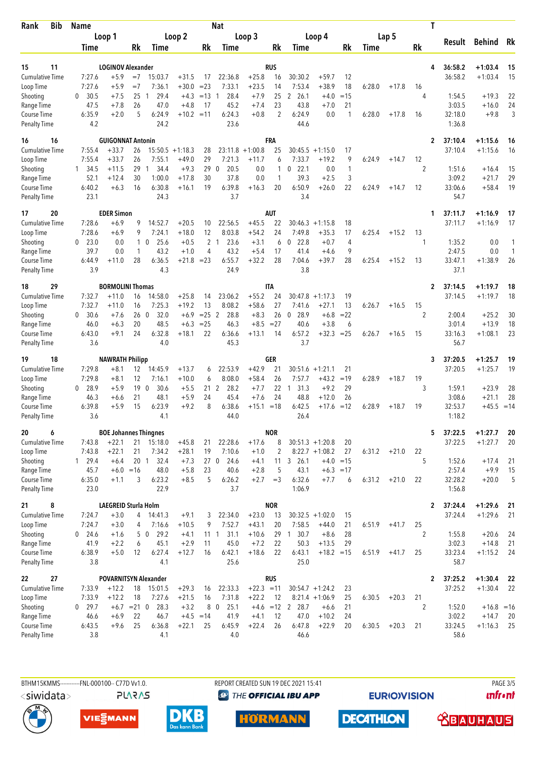| <b>Bib</b><br>Rank                  | Name              |                                    |              | <b>Nat</b>                     |                    |                       |                               |                         |            |                            |                                       |                   |        | T       |                      |                    |                        |          |  |  |  |
|-------------------------------------|-------------------|------------------------------------|--------------|--------------------------------|--------------------|-----------------------|-------------------------------|-------------------------|------------|----------------------------|---------------------------------------|-------------------|--------|---------|----------------------|--------------------|------------------------|----------|--|--|--|
|                                     | Loop 1            |                                    | Loop 2       |                                |                    |                       |                               | Loop 3                  |            | Loop 4                     |                                       |                   |        | Lap 5   |                      |                    | <b>Behind</b>          |          |  |  |  |
|                                     | Time              |                                    | Rk           | Time                           |                    | Rk                    | Time                          |                         | Rk         | Time                       |                                       | Rk                | Time   |         | Rk                   | <b>Result</b>      |                        | Rk       |  |  |  |
|                                     |                   | <b>LOGINOV Alexander</b>           |              |                                |                    |                       |                               |                         | <b>RUS</b> |                            |                                       |                   |        |         | 4                    |                    |                        | 15       |  |  |  |
| 11<br>15<br><b>Cumulative Time</b>  | 7:27.6            | $+5.9$                             | $=7$         | 15:03.7                        | $+31.5$            | 17                    | 22:36.8                       | $+25.8$                 | 16         | 30:30.2                    | $+59.7$                               | 12                |        |         |                      | 36:58.2<br>36:58.2 | $+1:03.4$<br>$+1:03.4$ | 15       |  |  |  |
| Loop Time                           | 7:27.6            | $+5.9$                             | $=7$         | 7:36.1                         | $+30.0$            | $= 23$                | 7:33.1                        | $+23.5$                 | 14         | 7:53.4                     | $+38.9$                               | 18                | 6:28.0 | $+17.8$ | 16                   |                    |                        |          |  |  |  |
| Shooting                            | 30.5<br>0         | $+7.5$                             | 25           | 29.4<br>-1                     | $+4.3$             | $=13$                 | 28.4<br>-1                    | $+7.9$                  | 25         | 2<br>26.1                  | $+4.0$                                | $=15$             |        |         | 4                    | 1:54.5             | $+19.3$                | 22       |  |  |  |
| Range Time                          | 47.5              | $+7.8$                             | 26           | 47.0                           | $+4.8$             | 17                    | 45.2                          | $+7.4$                  | 23         | 43.8                       | $+7.0$                                | 21                |        |         |                      | 3:03.5             | $+16.0$                | 24       |  |  |  |
| Course Time<br><b>Penalty Time</b>  | 6:35.9<br>4.2     | $+2.0$                             | 5            | 6:24.9<br>24.2                 | $+10.2 = 11$       |                       | 6:24.3<br>23.6                | $+0.8$                  | 2          | 6:24.9<br>44.6             | 0.0                                   | $\mathbf{1}$      | 6:28.0 | $+17.8$ | 16                   | 32:18.0<br>1:36.8  | $+9.8$                 | 3        |  |  |  |
| 16<br>16                            |                   | <b>GUIGONNAT Antonin</b>           |              |                                |                    |                       |                               |                         | <b>FRA</b> |                            |                                       |                   |        |         | $\mathbf{2}$         | 37:10.4            | $+1:15.6$              | 16       |  |  |  |
| <b>Cumulative Time</b>              | 7:55.4            | $+33.7$                            | 26           | 15:50.5                        | $+1:18.3$          | 28                    | 23:11.8                       | $+1:00.8$               | 25         | 30:45.5                    | $+1:15.0$                             | 17                |        |         |                      | 37:10.4            | $+1:15.6$              | 16       |  |  |  |
| Loop Time                           | 7:55.4            | $+33.7$                            | 26<br>29     | 7:55.1<br>34.4<br>$\mathbf{1}$ | $+49.0$<br>$+9.3$  | 29<br>29              | 7:21.3<br>20.5<br>$\mathbf 0$ | $+11.7$                 | 6<br>1     | 7:33.7<br>22.1<br>$\Omega$ | $+19.2$                               | 9<br>1            | 6:24.9 | $+14.7$ | 12<br>$\overline{2}$ |                    |                        |          |  |  |  |
| Shooting<br>Range Time              | 1 34.5<br>52.1    | $+11.5$<br>$+12.4$                 | 30           | 1:00.0                         | $+17.8$            | 30                    | 37.8                          | 0.0<br>0.0              | 1          | 39.3                       | 0.0<br>$+2.5$                         | 3                 |        |         |                      | 1:51.6<br>3:09.2   | $+16.4$<br>$+21.7$     | 15<br>29 |  |  |  |
| Course Time                         | 6:40.2            | $+6.3$                             | 16           | 6:30.8                         | $+16.1$            | 19                    | 6:39.8                        | $+16.3$                 | 20         | 6:50.9                     | $+26.0$                               | 22                | 6:24.9 | $+14.7$ | 12                   | 33:06.6            | $+58.4$                | 19       |  |  |  |
| <b>Penalty Time</b>                 | 23.1              |                                    |              | 24.3                           |                    |                       | 3.7                           |                         |            | 3.4                        |                                       |                   |        |         |                      | 54.7               |                        |          |  |  |  |
| 20<br>17                            |                   | <b>EDER Simon</b>                  |              |                                |                    |                       |                               |                         | <b>AUT</b> |                            |                                       |                   |        |         | 1                    | 37:11.7            | +1:16.9                | 17       |  |  |  |
| <b>Cumulative Time</b><br>Loop Time | 7:28.6<br>7:28.6  | $+6.9$<br>$+6.9$                   | 9<br>9       | 14:52.7<br>7:24.1              | $+20.5$<br>$+18.0$ | 10<br>12              | 22:56.5<br>8:03.8             | $+45.5$<br>$+54.2$      | 22<br>24   | 30:46.3<br>7:49.8          | $+1:15.8$<br>$+35.3$                  | 18<br>17          | 6:25.4 | $+15.2$ | 13                   | 37:11.7            | $+1:16.9$              | 17       |  |  |  |
| Shooting                            | 23.0<br>0         | 0.0                                | $\mathbf{1}$ | 25.6<br>0                      | $+0.5$             |                       | 2 <sub>1</sub><br>23.6        | $+3.1$                  | 6          | 22.8<br>0                  | $+0.7$                                | 4                 |        |         | 1                    | 1:35.2             | 0.0                    | 1        |  |  |  |
| Range Time                          | 39.7              | 0.0                                | 1            | 43.2                           | $+1.0$             | 4                     | 43.2                          | $+5.4$                  | 17         | 41.4                       | $+4.6$                                | 9                 |        |         |                      | 2:47.5             | 0.0                    | 1        |  |  |  |
| Course Time<br><b>Penalty Time</b>  | 6:44.9<br>3.9     | $+11.0$                            | 28           | 6:36.5<br>4.3                  | $+21.8 = 23$       |                       | 6:55.7<br>24.9                | $+32.2$                 | 28         | 7:04.6<br>3.8              | $+39.7$                               | 28                | 6:25.4 | $+15.2$ | 13                   | 33:47.1<br>37.1    | $+1:38.9$              | 26       |  |  |  |
|                                     |                   |                                    |              |                                |                    |                       |                               |                         |            |                            |                                       |                   |        |         |                      |                    |                        |          |  |  |  |
| 29<br>18<br><b>Cumulative Time</b>  | 7:32.7            | <b>BORMOLINI Thomas</b><br>$+11.0$ | 16           | 14:58.0                        | $+25.8$            | 14                    | 23:06.2                       | $+55.2$                 | IΤA<br>24  | 30:47.8                    | $+1:17.3$                             | 19                |        |         | 2                    | 37:14.5<br>37:14.5 | $+1:19.7$<br>$+1:19.7$ | 18<br>18 |  |  |  |
| Loop Time                           | 7:32.7            | $+11.0$                            | 16           | 7:25.3                         | $+19.2$            | 13                    | 8:08.2                        | $+58.6$                 | 27         | 7:41.6                     | $+27.1$                               | 13                | 6:26.7 | $+16.5$ | 15                   |                    |                        |          |  |  |  |
| Shooting                            | 0<br>30.6         | $+7.6$                             | 260          | 32.0                           | $+6.9$             | $= 25$ 2              | 28.8                          | $+8.3$                  | 26         | 28.9<br>$\mathbf 0$        | $+6.8$                                | $= 22$            |        |         | 2                    | 2:00.4             | $+25.2$                | 30       |  |  |  |
| Range Time                          | 46.0              | $+6.3$                             | 20           | 48.5                           | $+6.3$             | $= 25$                | 46.3                          | $+8.5$                  | $= 27$     | 40.6                       | $+3.8$                                | 6                 |        |         |                      | 3:01.4             | $+13.9$                | 18       |  |  |  |
| Course Time<br><b>Penalty Time</b>  | 6:43.0<br>3.6     | $+9.1$                             | 24           | 6:32.8<br>4.0                  | $+18.1$            | 22                    | 6:36.6<br>45.3                | $+13.1$                 | 14         | 6:57.2<br>3.7              | $+32.3$                               | $= 25$            | 6:26.7 | $+16.5$ | 15                   | 33:16.3<br>56.7    | $+1:08.1$              | 23       |  |  |  |
| 18<br>19                            |                   | <b>NAWRATH Philipp</b>             |              |                                |                    |                       |                               |                         | GER        |                            |                                       |                   |        |         | 3                    | 37:20.5            | $+1:25.7$              | 19       |  |  |  |
| <b>Cumulative Time</b>              | 7:29.8            | $+8.1$                             | 12           | 14:45.9                        | $+13.7$            | 6                     | 22:53.9                       | $+42.9$                 | 21         | $30:51.6 + 1:21.1$         |                                       | 21                |        |         |                      | 37:20.5            | $+1:25.7$              | 19       |  |  |  |
| Loop Time                           | 7:29.8            | $+8.1$                             | 12           | 7:16.1                         | $+10.0$            | 6                     | 8:08.0                        | $+58.4$                 | 26         | 7:57.7                     | $+43.2$                               | $=19$             | 6:28.9 | $+18.7$ | 19                   |                    |                        |          |  |  |  |
| Shooting                            | 28.9<br>0<br>46.3 | $+5.9$<br>$+6.6$                   | 19<br>21     | $\overline{0}$<br>30.6<br>48.1 | $+5.5$<br>$+5.9$   | 21<br>24              | 2<br>28.2<br>45.4             | $+7.7$<br>$+7.6$        | 22<br>24   | 31.3<br>1<br>48.8          | $+9.2$<br>$+12.0$                     | 29<br>26          |        |         | 3                    | 1:59.1<br>3:08.6   | $+23.9$<br>$+21.1$     | 28<br>28 |  |  |  |
| Range Time<br><b>Course Time</b>    | 6:39.8            | $+5.9$                             | 15           | 6:23.9                         | $+9.2$             | 8                     | 6:38.6                        | $+15.1 = 18$            |            | 6:42.5                     | +17.6                                 | $=12$             | 6:28.9 | $+18.7$ | 19                   | 32:53.7            | $+45.5$                | $=14$    |  |  |  |
| <b>Penalty Time</b>                 | 3.6               |                                    |              | 4.1                            |                    |                       | 44.0                          |                         |            | 26.4                       |                                       |                   |        |         |                      | 1:18.2             |                        |          |  |  |  |
| 6<br>20                             |                   | <b>BOE Johannes Thingnes</b>       |              |                                |                    |                       |                               |                         | <b>NOR</b> |                            |                                       |                   |        |         | 5                    | 37:22.5            | $+1:27.7$              | 20       |  |  |  |
| Cumulative Time                     | 7:43.8            | $+22.1$                            |              | 21 15:18.0                     | $+45.8$            | 21                    | 22:28.6                       | $+17.6$                 | 8          |                            | $30:51.3 +1:20.8$                     | 20                |        |         |                      | 37:22.5            | $+1:27.7$              | 20       |  |  |  |
| Loop Time                           | 7:43.8<br>1 29.4  | $+22.1$                            | 21           | 7:34.2<br>32.4                 | $+28.1$            | 19<br>27 <sub>0</sub> | 7:10.6                        | $+1.0$                  | 2          |                            | $8:22.7 +1:08.2$                      | 27<br>$+4.0 = 15$ | 6:31.2 | $+21.0$ | 22<br>5              | 1:52.6             | $+17.4$                |          |  |  |  |
| Shooting<br>Range Time              | 45.7              | $+6.4$<br>$+6.0 = 16$              | 20 1         | 48.0                           | $+7.3$<br>$+5.8$   | 23                    | 24.6<br>40.6                  | $+4.1$<br>$+2.8$        | 5          | 11 3 26.1<br>43.1          |                                       | $+6.3 = 17$       |        |         |                      | 2:57.4             | $+9.9$                 | 21<br>15 |  |  |  |
| Course Time                         | 6:35.0            | $+1.1$                             | 3            | 6:23.2                         | $+8.5$             | 5                     | 6:26.2                        | $+2.7$                  | $=$ 3      | 6:32.6                     | $+7.7$                                | 6                 | 6:31.2 | $+21.0$ | 22                   | 32:28.2            | $+20.0$                | 5        |  |  |  |
| <b>Penalty Time</b>                 | 23.0              |                                    |              | 22.9                           |                    |                       | 3.7                           |                         |            | 1:06.9                     |                                       |                   |        |         |                      | 1:56.8             |                        |          |  |  |  |
| 8<br>21                             |                   | LAEGREID Sturla Holm               |              |                                |                    |                       |                               |                         | <b>NOR</b> |                            |                                       |                   |        |         | $\mathbf{2}$         | 37:24.4            | $+1:29.6$              | 21       |  |  |  |
| Cumulative Time<br>Loop Time        | 7:24.7<br>7:24.7  | $+3.0$<br>$+3.0$                   |              | 4 14:41.3<br>7:16.6            | $+9.1$             | 3<br>9                | 22:34.0<br>7:52.7             | $+23.0$<br>$+43.1$      | 13<br>20   | 7:58.5                     | $30:32.5 +1:02.0$<br>$+44.0$          | 15                |        | $+41.7$ | 25                   | 37:24.4            | $+1:29.6$              | 21       |  |  |  |
| Shooting                            | $0$ 24.6          | $+1.6$                             | 4            | 50<br>29.2                     | $+10.5$<br>$+4.1$  | $11 \quad 1$          | 31.1                          | $+10.6$                 | 29         | 30.7<br>$\mathbf{1}$       | $+8.6$                                | 21<br>28          | 6:51.9 |         | $\overline{2}$       | 1:55.8             | $+20.6$                | 24       |  |  |  |
| Range Time                          | 41.9              | $+2.2$                             | 6            | 45.1                           | $+2.9$             | 11                    | 45.0                          | $+7.2$                  | 22         | 50.3                       | $+13.5$                               | 29                |        |         |                      | 3:02.3             | $+14.8$                | 21       |  |  |  |
| Course Time                         | 6:38.9            | $+5.0$                             | 12           | 6:27.4                         | $+12.7$            | 16                    | 6:42.1                        | $+18.6$                 | 22         | 6:43.1                     | $+18.2 = 15$                          |                   | 6:51.9 | $+41.7$ | 25                   | 33:23.4            | $+1:15.2$              | 24       |  |  |  |
| <b>Penalty Time</b>                 | 3.8               |                                    |              | 4.1                            |                    |                       | 25.6                          |                         |            | 25.0                       |                                       |                   |        |         |                      | 58.7               |                        |          |  |  |  |
| 27<br>22                            |                   |                                    |              | <b>POVARNITSYN Alexander</b>   |                    |                       |                               |                         | <b>RUS</b> |                            |                                       |                   |        |         | 2                    | 37:25.2            | $+1:30.4$              | 22       |  |  |  |
| <b>Cumulative Time</b><br>Loop Time | 7:33.9<br>7:33.9  | $+12.2$<br>$+12.2$                 | 18<br>18     | 15:01.5<br>7:27.6              | $+29.3$<br>$+21.5$ | 16<br>16              | 22:33.3<br>7:31.8             | $+22.3 = 11$<br>$+22.2$ | 12         |                            | $30:54.7 +1:24.2$<br>$8:21.4 +1:06.9$ | 23<br>25          | 6:30.5 | $+20.3$ | 21                   | 37:25.2            | $+1:30.4$              | 22       |  |  |  |
| Shooting                            | $0$ 29.7          | $+6.7$ = 21 0                      |              | 28.3                           | $+3.2$             |                       | 8 0<br>25.1                   |                         |            | $+4.6$ = 12 2 28.7         | $+6.6$                                | 21                |        |         | 2                    | 1:52.0             | $+16.8 = 16$           |          |  |  |  |
| Range Time                          | 46.6              | $+6.9$                             | 22           | 46.7                           | $+4.5 = 14$        |                       | 41.9                          | $+4.1$                  | 12         | 47.0                       | $+10.2$                               | 24                |        |         |                      | 3:02.2             | $+14.7$                | 20       |  |  |  |
| Course Time                         | 6:43.5            | $+9.6$                             | 25           | 6:36.8                         | $+22.1$            | 25                    | 6:45.9                        | $+22.4$                 | 26         | 6:47.8                     | $+22.9$                               | 20                | 6:30.5 | $+20.3$ | 21                   | 33:24.5            | $+1:16.3$              | 25       |  |  |  |
| <b>Penalty Time</b>                 | 3.8               |                                    |              | 4.1                            |                    |                       | 4.0                           |                         |            | 46.6                       |                                       |                   |        |         |                      | 58.6               |                        |          |  |  |  |

<siwidata>

**PLARAS** 

BTHM15KMMS-----------FNL-000100-- C77D Vv1.0. REPORT CREATED SUN 19 DEC 2021 15:41 PAGE 3/5 <sup><sup>9</sup> THE OFFICIAL IBU APP</sup>

**HÖRMANN** 

**EURIOVISION** 

**DECATHLON** 

*<u><u>Infront</u>*</u>





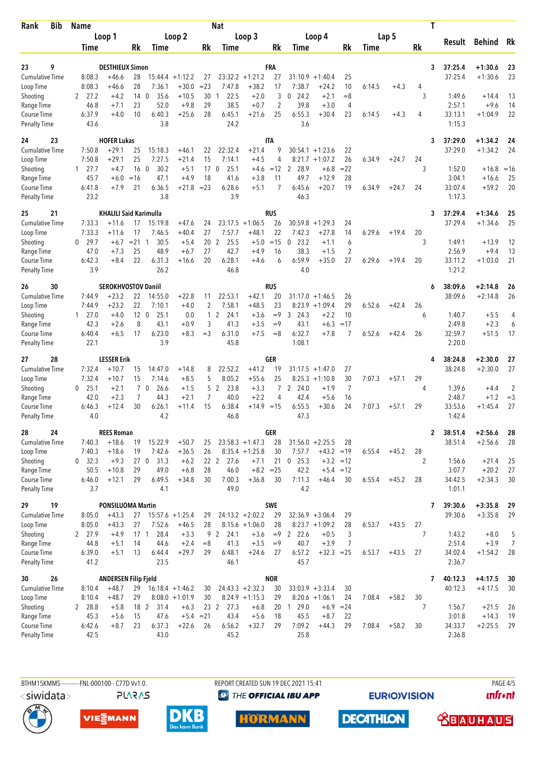| <b>Bib</b><br>Rank                  | <b>Name</b>      |                               | <b>Nat</b>      |                        |                               |              |                     |                        |                |                                |                        |                | Τ      |         |              |                   |                     |                     |  |  |
|-------------------------------------|------------------|-------------------------------|-----------------|------------------------|-------------------------------|--------------|---------------------|------------------------|----------------|--------------------------------|------------------------|----------------|--------|---------|--------------|-------------------|---------------------|---------------------|--|--|
|                                     | Loop 1           |                               |                 |                        | Loop <sub>2</sub>             |              | Loop 3              |                        |                |                                | Loop 4                 |                |        | Lap 5   |              |                   | <b>Behind</b>       |                     |  |  |
|                                     | Time             |                               | Rk              | Time                   |                               | Rk           | Time                |                        | Rk             | Time                           |                        | Rk             | Time   |         | Rk           | Result            |                     | Rk                  |  |  |
|                                     |                  |                               |                 |                        |                               |              |                     |                        |                |                                |                        |                |        |         |              |                   |                     |                     |  |  |
| 9<br>23                             |                  | <b>DESTHIEUX Simon</b>        |                 |                        |                               |              |                     | $+1:21.2$              | FRA            |                                |                        |                |        |         | 3            | 37:25.4           | $+1:30.6$           | 23<br>23            |  |  |
| <b>Cumulative Time</b><br>Loop Time | 8:08.3<br>8:08.3 | $+46.6$<br>+46.6              | 28<br>28        | 7:36.1                 | $15:44.4 + 1:12.2$<br>$+30.0$ | 27<br>$= 23$ | 23:32.2<br>7:47.8   | $+38.2$                | 27<br>17       | 31:10.9<br>7:38.7              | $+1:40.4$<br>$+24.2$   | 25<br>10       | 6:14.5 | $+4.3$  | 4            | 37:25.4           | $+1:30.6$           |                     |  |  |
| Shooting                            | 27.2<br>2        | $+4.2$                        | 14              | 35.6<br>$\mathbf 0$    | $+10.5$                       | 30           | 22.5<br>1           | $+2.0$                 | 3              | 24.2<br>0                      | $+2.1$                 | $= 8$          |        |         | 3            | 1:49.6            | $+14.4$             | 13                  |  |  |
| Range Time                          | 46.8             | $+7.1$                        | 23              | 52.0                   | $+9.8$                        | 29           | 38.5                | $+0.7$                 | $\overline{2}$ | 39.8                           | $+3.0$                 | 4              |        |         |              | 2:57.1            | $+9.6$              | 14                  |  |  |
| Course Time                         | 6:37.9           | $+4.0$                        | 10              | 6:40.3                 | $+25.6$                       | 28           | 6:45.1              | $+21.6$                | 25             | 6:55.3                         | $+30.4$                | 23             | 6:14.5 | $+4.3$  | 4            | 33:13.1           | $+1:04.9$           | 22                  |  |  |
| <b>Penalty Time</b>                 | 43.6             |                               |                 | 3.8                    |                               |              | 24.2                |                        |                | 3.6                            |                        |                |        |         |              | 1:15.3            |                     |                     |  |  |
| 23<br>24                            |                  | <b>HOFER Lukas</b>            |                 |                        |                               |              |                     |                        | <b>ITA</b>     |                                |                        |                |        |         | 3            | 37:29.0           | $+1:34.2$           | 24                  |  |  |
| <b>Cumulative Time</b>              | 7:50.8           | $+29.1$                       | 25              | 15:18.3                | $+46.1$                       | 22           | 22:32.4             | $+21.4$                | 9              | 30:54.1                        | $+1:23.6$              | 22             |        |         |              | 37:29.0           | $+1:34.2$           | 24                  |  |  |
| Loop Time                           | 7:50.8           | +29.1                         | 25              | 7:27.5                 | $+21.4$                       | 15           | 7:14.1              | $+4.5$                 | 4              | 8:21.7                         | $+1:07.2$              | 26             | 6:34.9 | $+24.7$ | 24           |                   |                     |                     |  |  |
| Shooting                            | $1 \quad 27.7$   | $+4.7$                        | 16              | 30.2<br>$\overline{0}$ | $+5.1$                        | 17           | 25.1<br>$\mathbf 0$ | $+4.6$                 | $=12$          | 28.9<br>2                      | $+6.8$                 | $=22$          |        |         | 3            | 1:52.0            | $+16.8$             | $=16$               |  |  |
| Range Time<br>Course Time           | 45.7<br>6:41.8   | $+6.0$<br>$+7.9$              | $=16$<br>21     | 47.1<br>6:36.5         | $+4.9$<br>$+21.8$             | 18<br>$= 23$ | 41.6<br>6:28.6      | $+3.8$<br>$+5.1$       | 11<br>7        | 49.7<br>6:45.6                 | $+12.9$<br>$+20.7$     | 28<br>19       | 6:34.9 | $+24.7$ | 24           | 3:04.1<br>33:07.4 | $+16.6$<br>$+59.2$  | 25<br>20            |  |  |
| <b>Penalty Time</b>                 | 23.2             |                               |                 | 3.8                    |                               |              | 3.9                 |                        |                | 46.3                           |                        |                |        |         |              | 1:17.3            |                     |                     |  |  |
| 25<br>21                            |                  | <b>KHALILI Said Karimulla</b> |                 |                        |                               |              |                     |                        | rus            |                                |                        |                |        |         | 3            | 37:29.4           | $+1:34.6$           | 25                  |  |  |
| <b>Cumulative Time</b>              | 7:33.3           | $+11.6$                       | 17              | 15:19.8                | $+47.6$                       | 24           | 23:17.5             | $+1:06.5$              | 26             | 30:59.8                        | $+1:29.3$              | 24             |        |         |              | 37:29.4           | $+1:34.6$           | 25                  |  |  |
| Loop Time                           | 7:33.3           | $+11.6$                       | 17              | 7:46.5                 | $+40.4$                       | 27           | 7:57.7              | $+48.1$                | 22             | 7:42.3                         | $+27.8$                | 14             | 6:29.6 | $+19.4$ | 20           |                   |                     |                     |  |  |
| Shooting                            | $0$ 29.7         | $+6.7$                        | $= 21$          | 30.5<br>1              | $+5.4$                        | 20           | 25.5<br>2           | $+5.0$                 | $=15$          | 23.2<br>0                      | $+1.1$                 | 6              |        |         | 3            | 1:49.1            | $+13.9$             | 12                  |  |  |
| Range Time                          | 47.0             | $+7.3$                        | 25              | 48.9                   | $+6.7$                        | 27           | 42.7                | $+4.9$                 | 16             | 38.3                           | $+1.5$                 | $\overline{2}$ |        |         |              | 2:56.9            | $+9.4$              | 13                  |  |  |
| Course Time                         | 6:42.3           | $+8.4$                        | 22              | 6:31.3                 | $+16.6$                       | 20           | 6:28.1<br>46.8      | $+4.6$                 | 6              | 6:59.9<br>4.0                  | $+35.0$                | 27             | 6:29.6 | $+19.4$ | 20           | 33:11.2           | $+1:03.0$           | 21                  |  |  |
| <b>Penalty Time</b>                 | 3.9              |                               |                 | 26.2                   |                               |              |                     |                        |                |                                |                        |                |        |         |              | 1:21.2            |                     |                     |  |  |
| 26<br>30                            |                  | <b>SEROKHVOSTOV Daniil</b>    |                 |                        |                               |              |                     |                        | <b>RUS</b>     |                                |                        |                |        |         | 6            | 38:09.6           | $+2:14.8$           | 26                  |  |  |
| <b>Cumulative Time</b><br>Loop Time | 7:44.9<br>7:44.9 | $+23.2$<br>$+23.2$            | 22<br>22        | 14:55.0<br>7:10.1      | $+22.8$<br>$+4.0$             | 11<br>2      | 22:53.1<br>7:58.1   | $+42.1$<br>$+48.5$     | 20<br>23       | 31:17.0<br>8:23.9              | $+1:46.5$<br>$+1:09.4$ | 26<br>29       | 6:52.6 | $+42.4$ | 26           | 38:09.6           | $+2:14.8$           | 26                  |  |  |
| Shooting                            | $1 \quad 27.0$   | $+4.0$                        | 12 <sub>0</sub> | 25.1                   | 0.0                           | 1            | 2<br>24.1           | $+3.6$                 | $=9$           | 24.3<br>3                      | $+2.2$                 | 10             |        |         | 6            | 1:40.7            | $+5.5$              | 4                   |  |  |
| Range Time                          | 42.3             | $+2.6$                        | 8               | 43.1                   | $+0.9$                        | 3            | 41.3                | $+3.5$                 | $=9$           | 43.1                           | $+6.3$                 | $=17$          |        |         |              | 2:49.8            | $+2.3$              | 6                   |  |  |
| Course Time                         | 6:40.4           | $+6.5$                        | 17              | 6:23.0                 | $+8.3$                        | $=$ 3        | 6:31.0              | $+7.5$                 | $=8$           | 6:32.7                         | $+7.8$                 | 7              | 6:52.6 | $+42.4$ | 26           | 32:59.7           | $+51.5$             | 17                  |  |  |
| <b>Penalty Time</b>                 | 22.1             |                               |                 | 3.9                    |                               |              | 45.8                |                        |                | 1:08.1                         |                        |                |        |         |              | 2:20.0            |                     |                     |  |  |
| 28<br>27                            |                  | <b>LESSER Erik</b>            |                 |                        |                               |              |                     |                        | <b>GER</b>     |                                |                        |                |        |         |              | 38:24.8           | $+2:30.0$           | 27                  |  |  |
| <b>Cumulative Time</b>              | 7:32.4           | $+10.7$                       | 15              | 14:47.0                | $+14.8$                       | 8            | 22:52.2             | $+41.2$                | 19             | 31:17.5                        | $+1:47.0$              | 27             |        |         |              | 38:24.8           | $+2:30.0$           | 27                  |  |  |
| Loop Time                           | 7:32.4           | $+10.7$                       | 15              | 7:14.6                 | $+8.5$                        | 5            | 8:05.2              | $+55.6$                | 25             |                                | $8:25.3 +1:10.8$       | 30             | 7:07.3 | $+57.1$ | 29           |                   |                     |                     |  |  |
| Shooting                            | 0<br>25.1        | $+2.1$                        |                 | 7 <sub>0</sub><br>26.6 | $+1.5$                        | 5            | 2<br>23.8           | $+3.3$                 | $\overline{7}$ | 24.0<br>2                      | $+1.9$                 | $\overline{7}$ |        |         | 4            | 1:39.6            | $+4.4$              | 2                   |  |  |
| Range Time                          | 42.0<br>6:46.3   | $+2.3$<br>$+12.4$             | 7<br>30         | 44.3<br>6:26.1         | $+2.1$<br>$+11.4$             | 7<br>15      | 40.0<br>6:38.4      | $+2.2$<br>$+14.9 = 15$ | 4              | 42.4<br>6:55.5                 | $+5.6$<br>$+30.6$      | 16<br>24       | 7:07.3 | $+57.1$ | 29           | 2:48.7<br>33:53.6 | $+1.2$<br>$+1:45.4$ | $=$ 3<br>27         |  |  |
| Course Time<br><b>Penalty Time</b>  | 4.0              |                               |                 | 4.2                    |                               |              | 46.8                |                        |                | 47.3                           |                        |                |        |         |              | 1:42.4            |                     |                     |  |  |
| 24<br>28                            |                  | <b>REES Roman</b>             |                 |                        |                               |              |                     |                        | GER            |                                |                        |                |        |         | $\mathbf{2}$ | 38:51.4           | $+2:56.6$           | 28                  |  |  |
| Cumulative Time                     | 7:40.3           | $+18.6$                       | 19              | 15:22.9                | $+50.7$                       | 25           |                     | $23:58.3 +1:47.3$      | 28             |                                | $31:56.0 + 2:25.5$     | 28             |        |         |              | 38:51.4           | $+2:56.6$           | 28                  |  |  |
| Loop Time                           | 7:40.3           | $+18.6$                       | 19              | 7:42.6                 | $+36.5$                       | 26           |                     | $8:35.4 +1:25.8$       | 30             | 7:57.7                         | $+43.2 = 19$           |                | 6:55.4 | $+45.2$ | 28           |                   |                     |                     |  |  |
| Shooting                            | 0 32.3           | $+9.3$                        |                 | 27 0<br>31.3           | $+6.2$                        |              | 27.6<br>22 2        | $+7.1$                 | 21             | $0$ 25.3                       |                        | $+3.2 = 12$    |        |         | 2            | 1:56.6            | $+21.4$             | 25                  |  |  |
| Range Time                          | 50.5             | $+10.8$                       | 29              | 49.0                   | $+6.8$                        | 28           | 46.0                | $+8.2 = 25$            |                | 42.2                           |                        | $+5.4 = 12$    |        |         |              | 3:07.7            | $+20.2$             | 27                  |  |  |
| Course Time                         | 6:46.0           | $+12.1$                       | 29              | 6:49.5                 | $+34.8$                       | 30           | 7:00.3              | $+36.8$                | 30             | 7:11.3                         | $+46.4$                | 30             | 6:55.4 | $+45.2$ | 28           | 34:42.5           | $+2:34.3$           | 30                  |  |  |
| <b>Penalty Time</b>                 | 3.7              |                               |                 | 4.1                    |                               |              | 49.0                |                        |                | 4.2                            |                        |                |        |         |              | 1:01.1            |                     |                     |  |  |
| 19<br>29                            |                  | <b>PONSILUOMA Martin</b>      |                 |                        |                               |              |                     |                        | SWE            |                                |                        |                |        |         | 7            | 39:30.6           | $+3:35.8$           | 29                  |  |  |
| Cumulative Time                     | 8:05.0           | $+43.3$                       | 27              |                        | $15:57.6 + 1:25.4$            | 29           |                     | $24:13.2 + 2:02.2$     | 29             |                                | $32:36.9 + 3:06.4$     | 29             |        |         |              | 39:30.6           | $+3:35.8$           | 29                  |  |  |
| Loop Time                           | 8:05.0           | $+43.3$                       | 27              | 7:52.6                 | $+46.5$                       | 28           |                     | $8:15.6 + 1:06.0$      | 28<br>$=9$     |                                | $8:23.7 +1:09.2$       | 28             | 6:53.7 | $+43.5$ | 27<br>7      |                   |                     |                     |  |  |
| Shooting<br>Range Time              | 2 27.9<br>44.8   | $+4.9$<br>$+5.1$              | $17-1$<br>14    | 28.4<br>44.6           | $+3.3$<br>$+2.4$              | 9<br>$=8$    | 2<br>24.1<br>41.3   | $+3.6$<br>$+3.5$       | $=9$           | $\overline{2}$<br>22.6<br>40.7 | $+0.5$<br>$+3.9$       | 3<br>7         |        |         |              | 1:43.2<br>2:51.4  | $+8.0$<br>$+3.9$    | 5<br>$\overline{7}$ |  |  |
| Course Time                         | 6:39.0           | $+5.1$                        | 13              | 6:44.4                 | $+29.7$                       | 29           | 6:48.1              | $+24.6$                | 27             | 6:57.2                         | $+32.3 = 25$           |                | 6:53.7 | $+43.5$ | 27           | 34:02.4           | $+1:54.2$           | 28                  |  |  |
| <b>Penalty Time</b>                 | 41.2             |                               |                 | 23.5                   |                               |              | 46.1                |                        |                | 45.7                           |                        |                |        |         |              | 2:36.7            |                     |                     |  |  |
| 26<br>30                            |                  | <b>ANDERSEN Filip Fjeld</b>   |                 |                        |                               |              |                     |                        | <b>NOR</b>     |                                |                        |                |        |         | 7            | 40:12.3           | $+4:17.5$           | 30                  |  |  |
| <b>Cumulative Time</b>              | 8:10.4           | $+48.7$                       | 29              |                        | $16:18.4 + 1:46.2$            | 30           |                     | $24:43.3 + 2:32.3$     | 30             |                                | $33:03.9 + 3:33.4$     | 30             |        |         |              | 40:12.3           | $+4:17.5$           | 30                  |  |  |
| Loop Time                           | 8:10.4           | $+48.7$                       | 29              |                        | $8:08.0 + 1:01.9$             | 30           |                     | $8:24.9 +1:15.3$       | 29             |                                | $8:20.6 +1:06.1$       | 24             | 7:08.4 | $+58.2$ | 30           |                   |                     |                     |  |  |
| Shooting                            | 2 28.8           | $+5.8$                        | 18 2            | 31.4                   | $+6.3$                        |              | 23 2<br>27.3        | $+6.8$                 | 20             | 129.0                          | +6.9                   | $= 24$         |        |         | 7            | 1:56.7            | $+21.5$             | 26                  |  |  |
| Range Time                          | 45.3             | $+5.6$                        | 15              | 47.6                   | $+5.4 = 21$                   |              | 43.4                | $+5.6$                 | 18             | 45.5                           | $+8.7$                 | 22             |        |         |              | 3:01.8            | $+14.3$             | 19                  |  |  |
| Course Time<br><b>Penalty Time</b>  | 6:42.6<br>42.5   | $+8.7$                        | 23              | 6:37.3<br>43.0         | $+22.6$                       | 26           | 6:56.2<br>45.2      | $+32.7$                | 29             | 7:09.2<br>25.8                 | $+44.3$                | 29             | 7:08.4 | $+58.2$ | 30           | 34:33.7<br>2:36.8 | $+2:25.5$           | 29                  |  |  |
|                                     |                  |                               |                 |                        |                               |              |                     |                        |                |                                |                        |                |        |         |              |                   |                     |                     |  |  |

<siwidata>

**PLARAS** 

BTHM15KMMS-----------FNL-000100-- C77D Vv1.0. REPORT CREATED SUN 19 DEC 2021 15:41 PAGE 4/5 <sup><sup>9</sup> THE OFFICIAL IBU APP</sup>

**EURIOVISION** 

**DECATHLON** 

*<u><u>Infront</u>*</u>